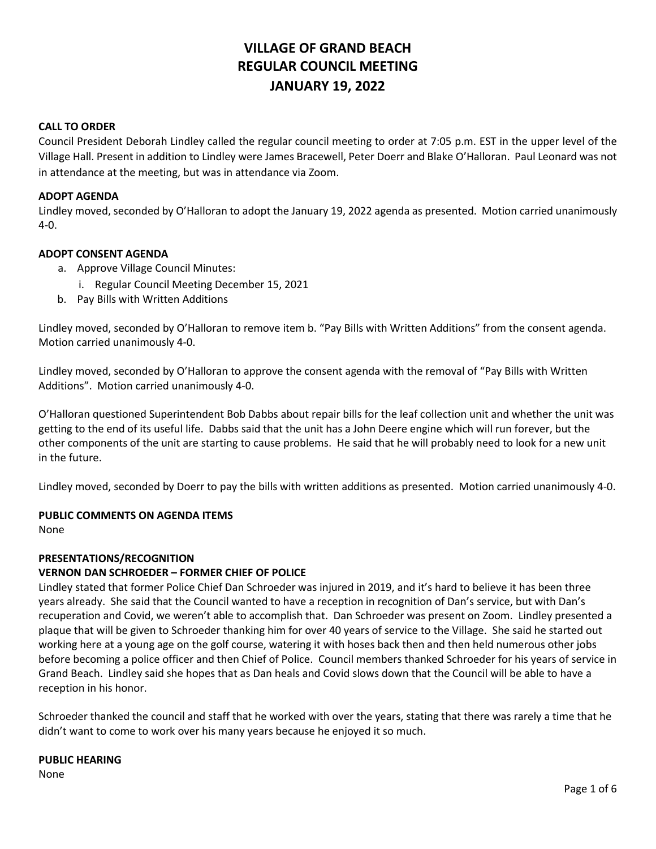# **VILLAGE OF GRAND BEACH REGULAR COUNCIL MEETING JANUARY 19, 2022**

### **CALL TO ORDER**

Council President Deborah Lindley called the regular council meeting to order at 7:05 p.m. EST in the upper level of the Village Hall. Present in addition to Lindley were James Bracewell, Peter Doerr and Blake O'Halloran. Paul Leonard was not in attendance at the meeting, but was in attendance via Zoom.

### **ADOPT AGENDA**

Lindley moved, seconded by O'Halloran to adopt the January 19, 2022 agenda as presented. Motion carried unanimously 4-0.

### **ADOPT CONSENT AGENDA**

- a. Approve Village Council Minutes:
	- i. Regular Council Meeting December 15, 2021
- b. Pay Bills with Written Additions

Lindley moved, seconded by O'Halloran to remove item b. "Pay Bills with Written Additions" from the consent agenda. Motion carried unanimously 4-0.

Lindley moved, seconded by O'Halloran to approve the consent agenda with the removal of "Pay Bills with Written Additions". Motion carried unanimously 4-0.

O'Halloran questioned Superintendent Bob Dabbs about repair bills for the leaf collection unit and whether the unit was getting to the end of its useful life. Dabbs said that the unit has a John Deere engine which will run forever, but the other components of the unit are starting to cause problems. He said that he will probably need to look for a new unit in the future.

Lindley moved, seconded by Doerr to pay the bills with written additions as presented. Motion carried unanimously 4-0.

#### **PUBLIC COMMENTS ON AGENDA ITEMS**

None

### **PRESENTATIONS/RECOGNITION**

### **VERNON DAN SCHROEDER – FORMER CHIEF OF POLICE**

Lindley stated that former Police Chief Dan Schroeder was injured in 2019, and it's hard to believe it has been three years already. She said that the Council wanted to have a reception in recognition of Dan's service, but with Dan's recuperation and Covid, we weren't able to accomplish that. Dan Schroeder was present on Zoom. Lindley presented a plaque that will be given to Schroeder thanking him for over 40 years of service to the Village. She said he started out working here at a young age on the golf course, watering it with hoses back then and then held numerous other jobs before becoming a police officer and then Chief of Police. Council members thanked Schroeder for his years of service in Grand Beach. Lindley said she hopes that as Dan heals and Covid slows down that the Council will be able to have a reception in his honor.

Schroeder thanked the council and staff that he worked with over the years, stating that there was rarely a time that he didn't want to come to work over his many years because he enjoyed it so much.

# **PUBLIC HEARING**

None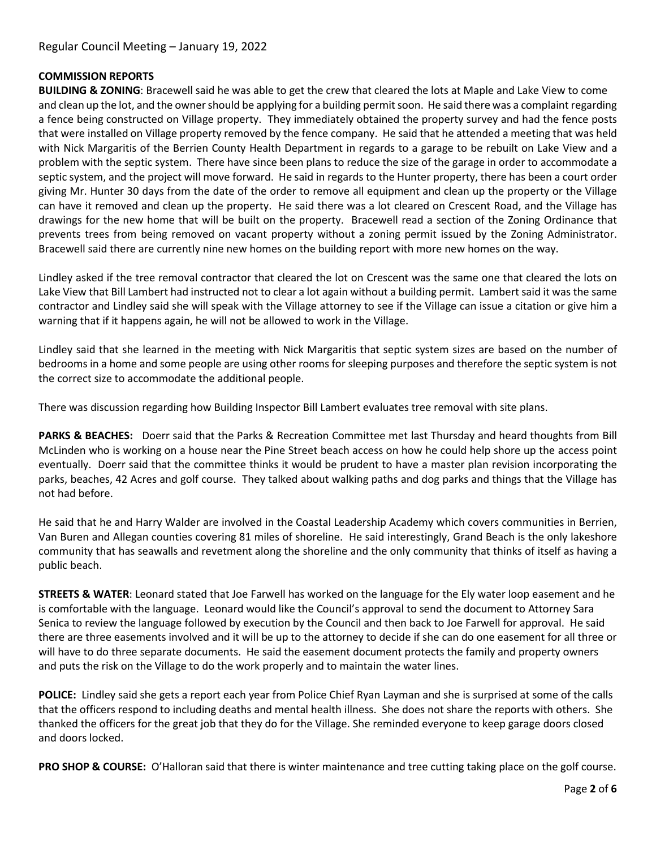### **COMMISSION REPORTS**

**BUILDING & ZONING**: Bracewell said he was able to get the crew that cleared the lots at Maple and Lake View to come and clean up the lot, and the owner should be applying for a building permit soon. He said there was a complaint regarding a fence being constructed on Village property. They immediately obtained the property survey and had the fence posts that were installed on Village property removed by the fence company. He said that he attended a meeting that was held with Nick Margaritis of the Berrien County Health Department in regards to a garage to be rebuilt on Lake View and a problem with the septic system. There have since been plans to reduce the size of the garage in order to accommodate a septic system, and the project will move forward. He said in regards to the Hunter property, there has been a court order giving Mr. Hunter 30 days from the date of the order to remove all equipment and clean up the property or the Village can have it removed and clean up the property. He said there was a lot cleared on Crescent Road, and the Village has drawings for the new home that will be built on the property. Bracewell read a section of the Zoning Ordinance that prevents trees from being removed on vacant property without a zoning permit issued by the Zoning Administrator. Bracewell said there are currently nine new homes on the building report with more new homes on the way.

Lindley asked if the tree removal contractor that cleared the lot on Crescent was the same one that cleared the lots on Lake View that Bill Lambert had instructed not to clear a lot again without a building permit. Lambert said it was the same contractor and Lindley said she will speak with the Village attorney to see if the Village can issue a citation or give him a warning that if it happens again, he will not be allowed to work in the Village.

Lindley said that she learned in the meeting with Nick Margaritis that septic system sizes are based on the number of bedrooms in a home and some people are using other rooms for sleeping purposes and therefore the septic system is not the correct size to accommodate the additional people.

There was discussion regarding how Building Inspector Bill Lambert evaluates tree removal with site plans.

**PARKS & BEACHES:** Doerr said that the Parks & Recreation Committee met last Thursday and heard thoughts from Bill McLinden who is working on a house near the Pine Street beach access on how he could help shore up the access point eventually. Doerr said that the committee thinks it would be prudent to have a master plan revision incorporating the parks, beaches, 42 Acres and golf course. They talked about walking paths and dog parks and things that the Village has not had before.

He said that he and Harry Walder are involved in the Coastal Leadership Academy which covers communities in Berrien, Van Buren and Allegan counties covering 81 miles of shoreline. He said interestingly, Grand Beach is the only lakeshore community that has seawalls and revetment along the shoreline and the only community that thinks of itself as having a public beach.

**STREETS & WATER**: Leonard stated that Joe Farwell has worked on the language for the Ely water loop easement and he is comfortable with the language. Leonard would like the Council's approval to send the document to Attorney Sara Senica to review the language followed by execution by the Council and then back to Joe Farwell for approval. He said there are three easements involved and it will be up to the attorney to decide if she can do one easement for all three or will have to do three separate documents. He said the easement document protects the family and property owners and puts the risk on the Village to do the work properly and to maintain the water lines.

**POLICE:** Lindley said she gets a report each year from Police Chief Ryan Layman and she is surprised at some of the calls that the officers respond to including deaths and mental health illness. She does not share the reports with others. She thanked the officers for the great job that they do for the Village. She reminded everyone to keep garage doors closed and doors locked.

**PRO SHOP & COURSE:** O'Halloran said that there is winter maintenance and tree cutting taking place on the golf course.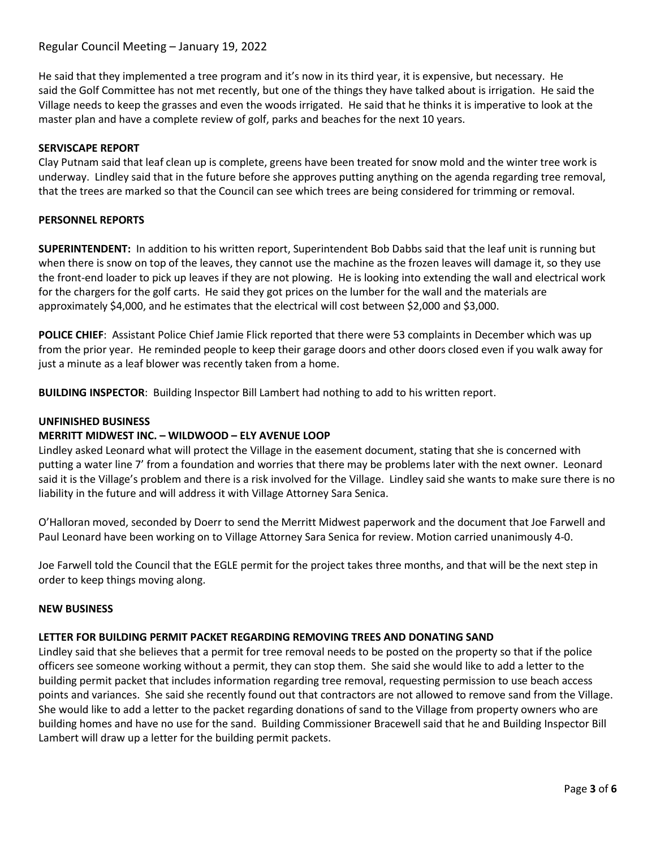# Regular Council Meeting – January 19, 2022

He said that they implemented a tree program and it's now in its third year, it is expensive, but necessary. He said the Golf Committee has not met recently, but one of the things they have talked about is irrigation. He said the Village needs to keep the grasses and even the woods irrigated. He said that he thinks it is imperative to look at the master plan and have a complete review of golf, parks and beaches for the next 10 years.

### **SERVISCAPE REPORT**

Clay Putnam said that leaf clean up is complete, greens have been treated for snow mold and the winter tree work is underway. Lindley said that in the future before she approves putting anything on the agenda regarding tree removal, that the trees are marked so that the Council can see which trees are being considered for trimming or removal.

### **PERSONNEL REPORTS**

**SUPERINTENDENT:** In addition to his written report, Superintendent Bob Dabbs said that the leaf unit is running but when there is snow on top of the leaves, they cannot use the machine as the frozen leaves will damage it, so they use the front-end loader to pick up leaves if they are not plowing. He is looking into extending the wall and electrical work for the chargers for the golf carts. He said they got prices on the lumber for the wall and the materials are approximately \$4,000, and he estimates that the electrical will cost between \$2,000 and \$3,000.

**POLICE CHIEF**: Assistant Police Chief Jamie Flick reported that there were 53 complaints in December which was up from the prior year. He reminded people to keep their garage doors and other doors closed even if you walk away for just a minute as a leaf blower was recently taken from a home.

**BUILDING INSPECTOR**: Building Inspector Bill Lambert had nothing to add to his written report.

#### **UNFINISHED BUSINESS**

### **MERRITT MIDWEST INC. – WILDWOOD – ELY AVENUE LOOP**

Lindley asked Leonard what will protect the Village in the easement document, stating that she is concerned with putting a water line 7' from a foundation and worries that there may be problems later with the next owner. Leonard said it is the Village's problem and there is a risk involved for the Village. Lindley said she wants to make sure there is no liability in the future and will address it with Village Attorney Sara Senica.

O'Halloran moved, seconded by Doerr to send the Merritt Midwest paperwork and the document that Joe Farwell and Paul Leonard have been working on to Village Attorney Sara Senica for review. Motion carried unanimously 4-0.

Joe Farwell told the Council that the EGLE permit for the project takes three months, and that will be the next step in order to keep things moving along.

#### **NEW BUSINESS**

## **LETTER FOR BUILDING PERMIT PACKET REGARDING REMOVING TREES AND DONATING SAND**

Lindley said that she believes that a permit for tree removal needs to be posted on the property so that if the police officers see someone working without a permit, they can stop them. She said she would like to add a letter to the building permit packet that includes information regarding tree removal, requesting permission to use beach access points and variances. She said she recently found out that contractors are not allowed to remove sand from the Village. She would like to add a letter to the packet regarding donations of sand to the Village from property owners who are building homes and have no use for the sand. Building Commissioner Bracewell said that he and Building Inspector Bill Lambert will draw up a letter for the building permit packets.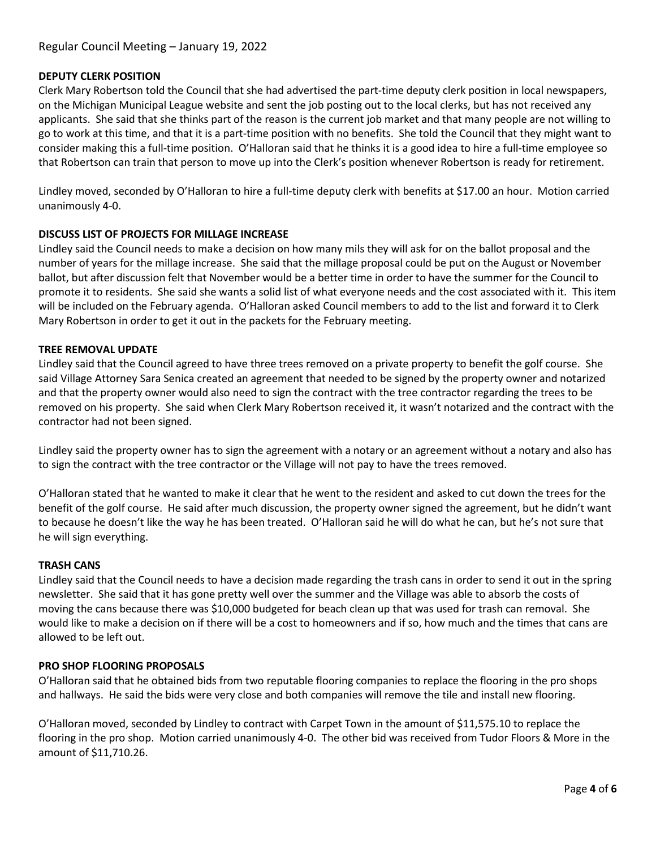### **DEPUTY CLERK POSITION**

Clerk Mary Robertson told the Council that she had advertised the part-time deputy clerk position in local newspapers, on the Michigan Municipal League website and sent the job posting out to the local clerks, but has not received any applicants. She said that she thinks part of the reason is the current job market and that many people are not willing to go to work at this time, and that it is a part-time position with no benefits. She told the Council that they might want to consider making this a full-time position. O'Halloran said that he thinks it is a good idea to hire a full-time employee so that Robertson can train that person to move up into the Clerk's position whenever Robertson is ready for retirement.

Lindley moved, seconded by O'Halloran to hire a full-time deputy clerk with benefits at \$17.00 an hour. Motion carried unanimously 4-0.

### **DISCUSS LIST OF PROJECTS FOR MILLAGE INCREASE**

Lindley said the Council needs to make a decision on how many mils they will ask for on the ballot proposal and the number of years for the millage increase. She said that the millage proposal could be put on the August or November ballot, but after discussion felt that November would be a better time in order to have the summer for the Council to promote it to residents. She said she wants a solid list of what everyone needs and the cost associated with it. This item will be included on the February agenda. O'Halloran asked Council members to add to the list and forward it to Clerk Mary Robertson in order to get it out in the packets for the February meeting.

### **TREE REMOVAL UPDATE**

Lindley said that the Council agreed to have three trees removed on a private property to benefit the golf course. She said Village Attorney Sara Senica created an agreement that needed to be signed by the property owner and notarized and that the property owner would also need to sign the contract with the tree contractor regarding the trees to be removed on his property. She said when Clerk Mary Robertson received it, it wasn't notarized and the contract with the contractor had not been signed.

Lindley said the property owner has to sign the agreement with a notary or an agreement without a notary and also has to sign the contract with the tree contractor or the Village will not pay to have the trees removed.

O'Halloran stated that he wanted to make it clear that he went to the resident and asked to cut down the trees for the benefit of the golf course. He said after much discussion, the property owner signed the agreement, but he didn't want to because he doesn't like the way he has been treated. O'Halloran said he will do what he can, but he's not sure that he will sign everything.

### **TRASH CANS**

Lindley said that the Council needs to have a decision made regarding the trash cans in order to send it out in the spring newsletter. She said that it has gone pretty well over the summer and the Village was able to absorb the costs of moving the cans because there was \$10,000 budgeted for beach clean up that was used for trash can removal. She would like to make a decision on if there will be a cost to homeowners and if so, how much and the times that cans are allowed to be left out.

### **PRO SHOP FLOORING PROPOSALS**

O'Halloran said that he obtained bids from two reputable flooring companies to replace the flooring in the pro shops and hallways. He said the bids were very close and both companies will remove the tile and install new flooring.

O'Halloran moved, seconded by Lindley to contract with Carpet Town in the amount of \$11,575.10 to replace the flooring in the pro shop. Motion carried unanimously 4-0. The other bid was received from Tudor Floors & More in the amount of \$11,710.26.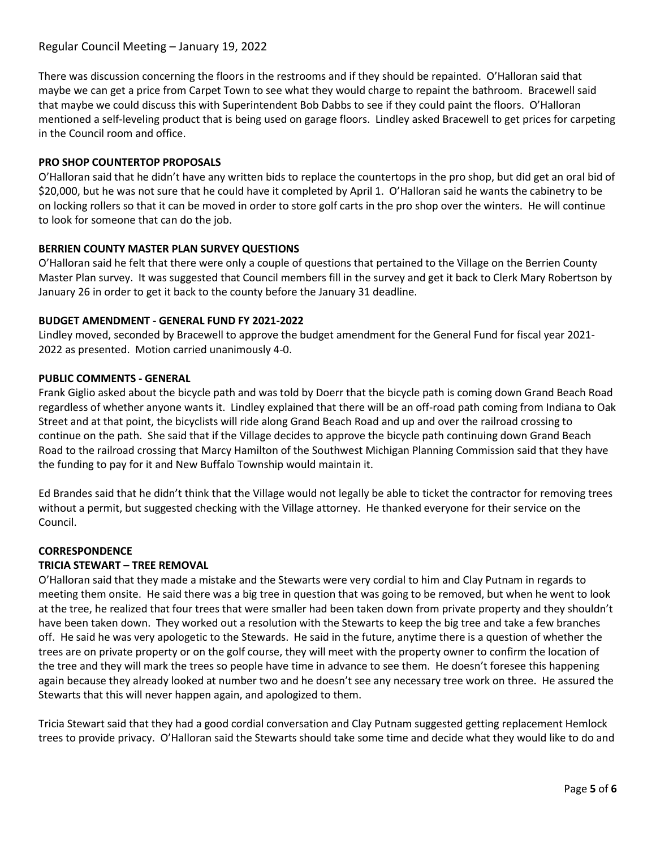# Regular Council Meeting – January 19, 2022

There was discussion concerning the floors in the restrooms and if they should be repainted. O'Halloran said that maybe we can get a price from Carpet Town to see what they would charge to repaint the bathroom. Bracewell said that maybe we could discuss this with Superintendent Bob Dabbs to see if they could paint the floors. O'Halloran mentioned a self-leveling product that is being used on garage floors. Lindley asked Bracewell to get prices for carpeting in the Council room and office.

### **PRO SHOP COUNTERTOP PROPOSALS**

O'Halloran said that he didn't have any written bids to replace the countertops in the pro shop, but did get an oral bid of \$20,000, but he was not sure that he could have it completed by April 1. O'Halloran said he wants the cabinetry to be on locking rollers so that it can be moved in order to store golf carts in the pro shop over the winters. He will continue to look for someone that can do the job.

### **BERRIEN COUNTY MASTER PLAN SURVEY QUESTIONS**

O'Halloran said he felt that there were only a couple of questions that pertained to the Village on the Berrien County Master Plan survey. It was suggested that Council members fill in the survey and get it back to Clerk Mary Robertson by January 26 in order to get it back to the county before the January 31 deadline.

### **BUDGET AMENDMENT - GENERAL FUND FY 2021-2022**

Lindley moved, seconded by Bracewell to approve the budget amendment for the General Fund for fiscal year 2021- 2022 as presented. Motion carried unanimously 4-0.

### **PUBLIC COMMENTS - GENERAL**

Frank Giglio asked about the bicycle path and was told by Doerr that the bicycle path is coming down Grand Beach Road regardless of whether anyone wants it. Lindley explained that there will be an off-road path coming from Indiana to Oak Street and at that point, the bicyclists will ride along Grand Beach Road and up and over the railroad crossing to continue on the path. She said that if the Village decides to approve the bicycle path continuing down Grand Beach Road to the railroad crossing that Marcy Hamilton of the Southwest Michigan Planning Commission said that they have the funding to pay for it and New Buffalo Township would maintain it.

Ed Brandes said that he didn't think that the Village would not legally be able to ticket the contractor for removing trees without a permit, but suggested checking with the Village attorney. He thanked everyone for their service on the Council.

#### **CORRESPONDENCE**

### **TRICIA STEWART – TREE REMOVAL**

O'Halloran said that they made a mistake and the Stewarts were very cordial to him and Clay Putnam in regards to meeting them onsite. He said there was a big tree in question that was going to be removed, but when he went to look at the tree, he realized that four trees that were smaller had been taken down from private property and they shouldn't have been taken down. They worked out a resolution with the Stewarts to keep the big tree and take a few branches off. He said he was very apologetic to the Stewards. He said in the future, anytime there is a question of whether the trees are on private property or on the golf course, they will meet with the property owner to confirm the location of the tree and they will mark the trees so people have time in advance to see them. He doesn't foresee this happening again because they already looked at number two and he doesn't see any necessary tree work on three. He assured the Stewarts that this will never happen again, and apologized to them.

Tricia Stewart said that they had a good cordial conversation and Clay Putnam suggested getting replacement Hemlock trees to provide privacy. O'Halloran said the Stewarts should take some time and decide what they would like to do and